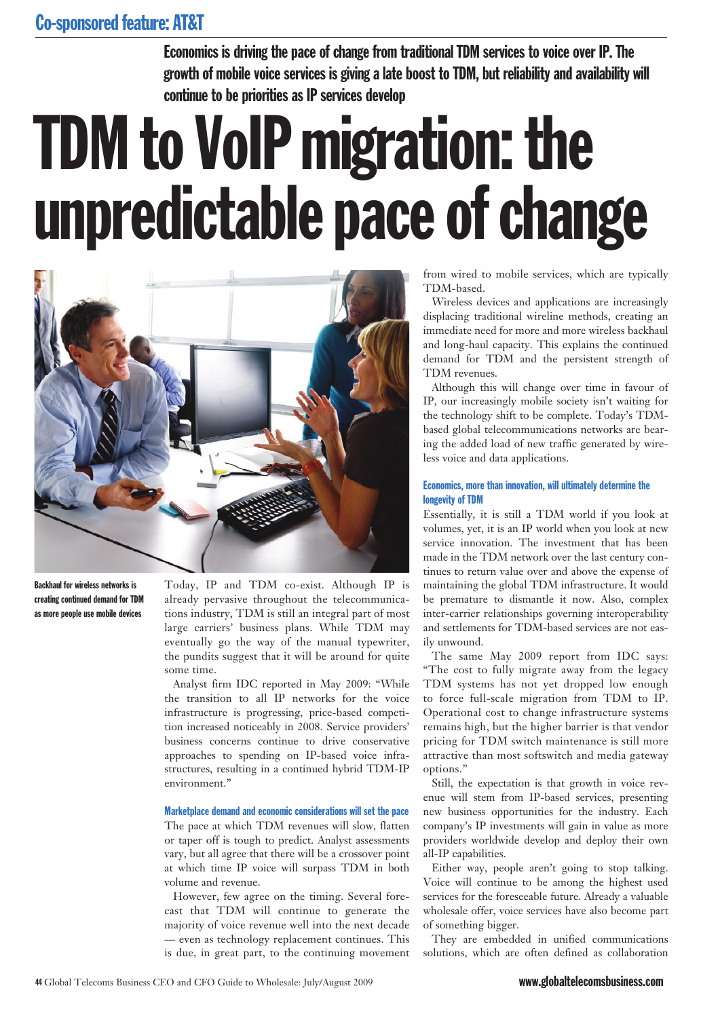Economics is driving the pace of change from traditional TDM services to voice over IP. The growth of mobile voice services is giving a late boost to TDM, but reliability and availability will continue to be priorities as IP services develop

# TDM to VoIP migration: the unpredictable pace of change



Backhaul for wireless networks is creating continued demand for TDM as more people use mobile devices

Today, IP and TDM co-exist. Although IP is already pervasive throughout the telecommunications industry, TDM is still an integral part of most large carriers' business plans. While TDM may eventually go the way of the manual typewriter, the pundits suggest that it will be around for quite some time.

Analyst firm IDC reported in May 2009: "While the transition to all IP networks for the voice infrastructure is progressing, price-based competition increased noticeably in 2008. Service providers' business concerns continue to drive conservative approaches to spending on IP-based voice infrastructures, resulting in a continued hybrid TDM-IP environment."

#### Marketplace demand and economic considerations will set the pace

The pace at which TDM revenues will slow, flatten or taper off is tough to predict. Analyst assessments vary, but all agree that there will be a crossover point at which time IP voice will surpass TDM in both volume and revenue.

However, few agree on the timing. Several forecast that TDM will continue to generate the majority of voice revenue well into the next decade — even as technology replacement continues. This is due, in great part, to the continuing movement from wired to mobile services, which are typically TDM-based.

Wireless devices and applications are increasingly displacing traditional wireline methods, creating an immediate need for more and more wireless backhaul and long-haul capacity. This explains the continued demand for TDM and the persistent strength of TDM revenues.

Although this will change over time in favour of IP, our increasingly mobile society isn't waiting for the technology shift to be complete. Today's TDMbased global telecommunications networks are bearing the added load of new traffic generated by wireless voice and data applications.

### Economics, more than innovation, will ultimately determine the longevity of TDM

Essentially, it is still a TDM world if you look at volumes, yet, it is an IP world when you look at new service innovation. The investment that has been made in the TDM network over the last century continues to return value over and above the expense of maintaining the global TDM infrastructure. It would be premature to dismantle it now. Also, complex inter-carrier relationships governing interoperability and settlements for TDM-based services are not easily unwound.

The same May 2009 report from IDC says: "The cost to fully migrate away from the legacy TDM systems has not yet dropped low enough to force full-scale migration from TDM to IP. Operational cost to change infrastructure systems remains high, but the higher barrier is that vendor pricing for TDM switch maintenance is still more attractive than most softswitch and media gateway options."

Still, the expectation is that growth in voice revenue will stem from IP-based services, presenting new business opportunities for the industry. Each company's IP investments will gain in value as more providers worldwide develop and deploy their own all-IP capabilities.

Either way, people aren't going to stop talking. Voice will continue to be among the highest used services for the foreseeable future. Already a valuable wholesale offer, voice services have also become part of something bigger.

They are embedded in unified communications solutions, which are often defined as collaboration